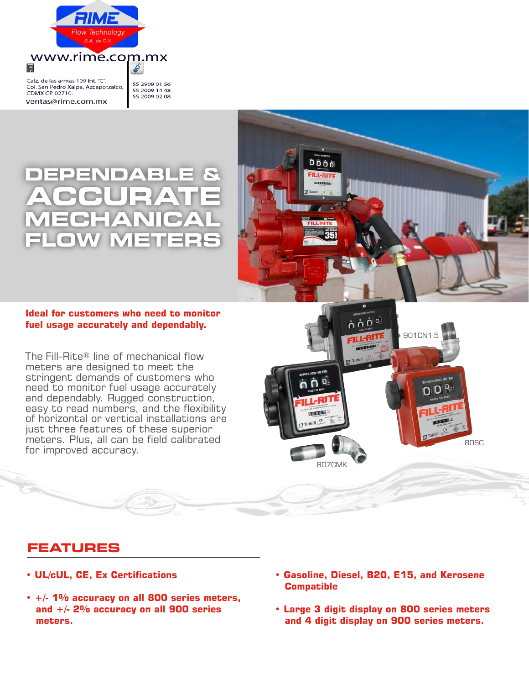

#### Calz. de las armas 109 Int. "C", Col. San Pedro Xalpa, Azcapotzalco, CDMX CP. 02710. ventas@rime.com.mx

圓

55 2909 01 56 55 2009 14 48 55 2009 02 08

6

## ▲ **STAR**

### **Ideal for customers who need to monitor fuel usage accurately and dependably.**

The Fill-Rite® line of mechanical flow meters are designed to meet the stringent demands of customers who need to monitor fuel usage accurately and dependably. Rugged construction, easy to read numbers, and the flexibility of horizontal or vertical installations are just three features of these superior meters. Plus, all can be field calibrated for improved accuracy.

# òòò **ILL-RI**



## **FEATURES**

- **UL/cUL, CE, Ex Certifications**
- **+/- 1% accuracy on all 800 series meters, and +/- 2% accuracy on all 900 series meters.**
- **Gasoline, Diesel, B20, E15, and Kerosene Compatible**
- **Large 3 digit display on 800 series meters and 4 digit display on 900 series meters.**